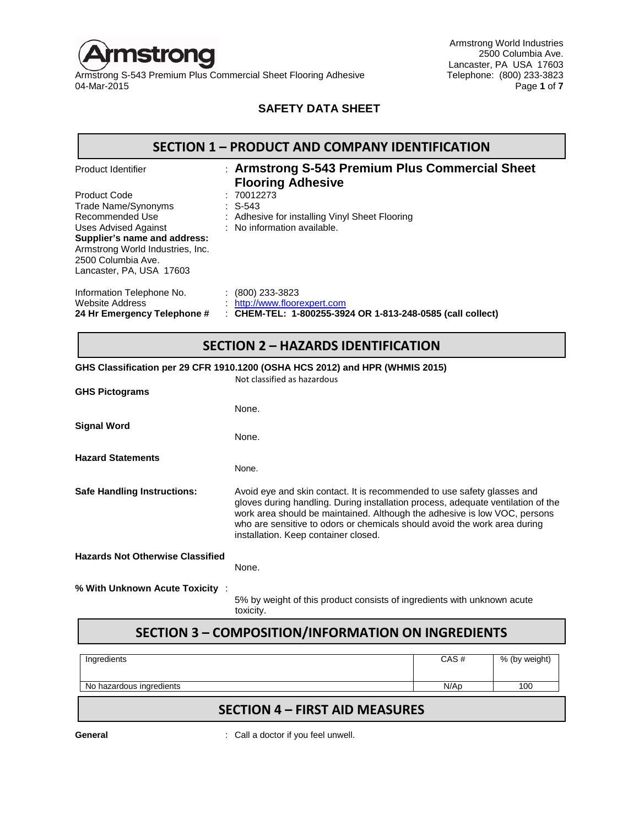

Armstrong World Industries 2500 Columbia Ave. Lancaster, PA USA 17603<br>Telephone: (800) 233-3823 04-Mar-2015 Page **1** of **7**

## **SAFETY DATA SHEET**

## **SECTION 1 – PRODUCT AND COMPANY IDENTIFICATION**

| Product Identifier                                                                                                                                                                                   | : Armstrong S-543 Premium Plus Commercial Sheet<br><b>Flooring Adhesive</b>                                      |
|------------------------------------------------------------------------------------------------------------------------------------------------------------------------------------------------------|------------------------------------------------------------------------------------------------------------------|
| Product Code<br>Trade Name/Synonyms<br>Recommended Use<br>Uses Advised Against<br>Supplier's name and address:<br>Armstrong World Industries, Inc.<br>2500 Columbia Ave.<br>Lancaster, PA, USA 17603 | :70012273<br>$\therefore$ S-543<br>: Adhesive for installing Vinyl Sheet Flooring<br>: No information available. |
| Information Telephone No.<br><b>Website Address</b><br>24 Hr Emergency Telephone #                                                                                                                   | $(800)$ 233-3823<br>http://www.floorexpert.com<br>: CHEM-TEL: 1-800255-3924 OR 1-813-248-0585 (call collect)     |

# **SECTION 2 – HAZARDS IDENTIFICATION**

## **GHS Classification per 29 CFR 1910.1200 (OSHA HCS 2012) and HPR (WHMIS 2015)**

| <b>GHS Pictograms</b>                   | Not classified as hazardous                                                                                                                                                                                                                                                                                                                                   |
|-----------------------------------------|---------------------------------------------------------------------------------------------------------------------------------------------------------------------------------------------------------------------------------------------------------------------------------------------------------------------------------------------------------------|
|                                         | None.                                                                                                                                                                                                                                                                                                                                                         |
| <b>Signal Word</b>                      | None.                                                                                                                                                                                                                                                                                                                                                         |
| <b>Hazard Statements</b>                | None.                                                                                                                                                                                                                                                                                                                                                         |
| <b>Safe Handling Instructions:</b>      | Avoid eye and skin contact. It is recommended to use safety glasses and<br>gloves during handling. During installation process, adequate ventilation of the<br>work area should be maintained. Although the adhesive is low VOC, persons<br>who are sensitive to odors or chemicals should avoid the work area during<br>installation. Keep container closed. |
| <b>Hazards Not Otherwise Classified</b> | None.                                                                                                                                                                                                                                                                                                                                                         |
| % With Unknown Acute Toxicity :         | 5% by weight of this product consists of ingredients with unknown acute<br>toxicity.                                                                                                                                                                                                                                                                          |

# **SECTION 3 – COMPOSITION/INFORMATION ON INGREDIENTS**

| Ingredients              | CAS# | % (by weight) |
|--------------------------|------|---------------|
| No hazardous ingredients | N/AD | 100           |

# **SECTION 4 – FIRST AID MEASURES**

**General General** : Call a doctor if you feel unwell.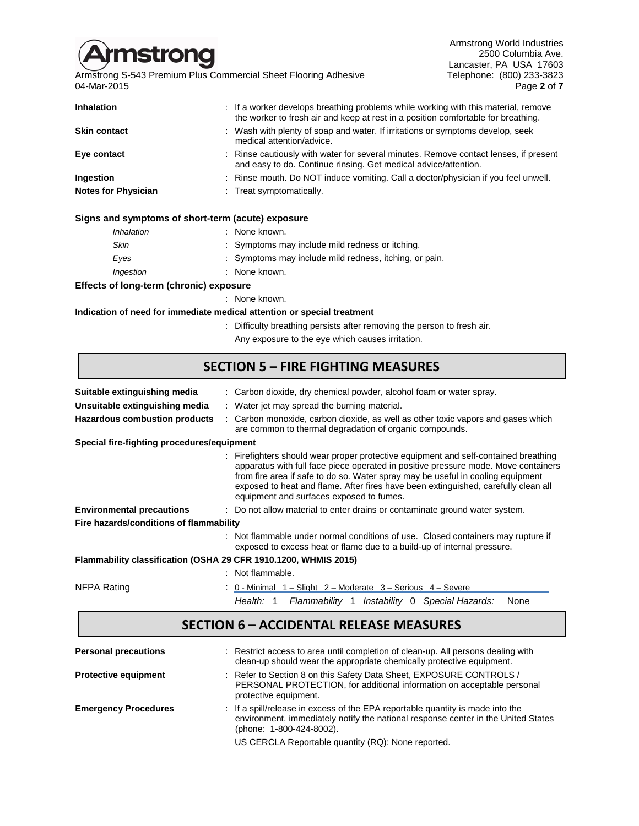

Armstrong World Industries 2500 Columbia Ave. Lancaster, PA USA 17603<br>Telephone: (800) 233-3823 04-Mar-2015 Page **2** of **7**

| <b>Inhalation</b>          | : If a worker develops breathing problems while working with this material, remove<br>the worker to fresh air and keep at rest in a position comfortable for breathing. |
|----------------------------|-------------------------------------------------------------------------------------------------------------------------------------------------------------------------|
| <b>Skin contact</b>        | : Wash with plenty of soap and water. If irritations or symptoms develop, seek<br>medical attention/advice.                                                             |
| Eye contact                | Rinse cautiously with water for several minutes. Remove contact lenses, if present<br>and easy to do. Continue rinsing. Get medical advice/attention.                   |
| Ingestion                  | : Rinse mouth. Do NOT induce vomiting. Call a doctor/physician if you feel unwell.                                                                                      |
| <b>Notes for Physician</b> | : Treat symptomatically.                                                                                                                                                |

## **Signs and symptoms of short-term (acute) exposure**

| Inhalation | : None known.                                          |
|------------|--------------------------------------------------------|
| Skin       | : Symptoms may include mild redness or itching.        |
| Eves       | : Symptoms may include mild redness, itching, or pain. |
| Ingestion  | : None known.                                          |
|            |                                                        |

#### **Effects of long-term (chronic) exposure**

: None known.

**Indication of need for immediate medical attention or special treatment**

- : Difficulty breathing persists after removing the person to fresh air.
	- Any exposure to the eye which causes irritation.

# **SECTION 5 – FIRE FIGHTING MEASURES**

| Suitable extinguishing media                                    | : Carbon dioxide, dry chemical powder, alcohol foam or water spray.                                                                                                                                                                                                                                                                                                                            |  |  |  |  |
|-----------------------------------------------------------------|------------------------------------------------------------------------------------------------------------------------------------------------------------------------------------------------------------------------------------------------------------------------------------------------------------------------------------------------------------------------------------------------|--|--|--|--|
| Unsuitable extinguishing media                                  | : Water jet may spread the burning material.                                                                                                                                                                                                                                                                                                                                                   |  |  |  |  |
| <b>Hazardous combustion products</b>                            | : Carbon monoxide, carbon dioxide, as well as other toxic vapors and gases which<br>are common to thermal degradation of organic compounds.                                                                                                                                                                                                                                                    |  |  |  |  |
| Special fire-fighting procedures/equipment                      |                                                                                                                                                                                                                                                                                                                                                                                                |  |  |  |  |
|                                                                 | : Firefighters should wear proper protective equipment and self-contained breathing<br>apparatus with full face piece operated in positive pressure mode. Move containers<br>from fire area if safe to do so. Water spray may be useful in cooling equipment<br>exposed to heat and flame. After fires have been extinguished, carefully clean all<br>equipment and surfaces exposed to fumes. |  |  |  |  |
| <b>Environmental precautions</b>                                | : Do not allow material to enter drains or contaminate ground water system.                                                                                                                                                                                                                                                                                                                    |  |  |  |  |
| Fire hazards/conditions of flammability                         |                                                                                                                                                                                                                                                                                                                                                                                                |  |  |  |  |
|                                                                 | : Not flammable under normal conditions of use. Closed containers may rupture if<br>exposed to excess heat or flame due to a build-up of internal pressure.                                                                                                                                                                                                                                    |  |  |  |  |
| Flammability classification (OSHA 29 CFR 1910.1200, WHMIS 2015) |                                                                                                                                                                                                                                                                                                                                                                                                |  |  |  |  |
|                                                                 | : Not flammable.                                                                                                                                                                                                                                                                                                                                                                               |  |  |  |  |
| NFPA Rating                                                     | 0 - Minimal $1 -$ Slight $2 -$ Moderate $3 -$ Serious $4 -$ Severe                                                                                                                                                                                                                                                                                                                             |  |  |  |  |
|                                                                 | Flammability 1 Instability 0 Special Hazards:<br>Health: 1<br>None                                                                                                                                                                                                                                                                                                                             |  |  |  |  |

# **SECTION 6 – ACCIDENTAL RELEASE MEASURES**

| <b>Personal precautions</b> | : Restrict access to area until completion of clean-up. All persons dealing with<br>clean-up should wear the appropriate chemically protective equipment.                                       |
|-----------------------------|-------------------------------------------------------------------------------------------------------------------------------------------------------------------------------------------------|
| <b>Protective equipment</b> | : Refer to Section 8 on this Safety Data Sheet, EXPOSURE CONTROLS /<br>PERSONAL PROTECTION, for additional information on acceptable personal<br>protective equipment.                          |
| <b>Emergency Procedures</b> | : If a spill/release in excess of the EPA reportable quantity is made into the<br>environment, immediately notify the national response center in the United States<br>(phone: 1-800-424-8002). |
|                             | US CERCLA Reportable quantity (RQ): None reported.                                                                                                                                              |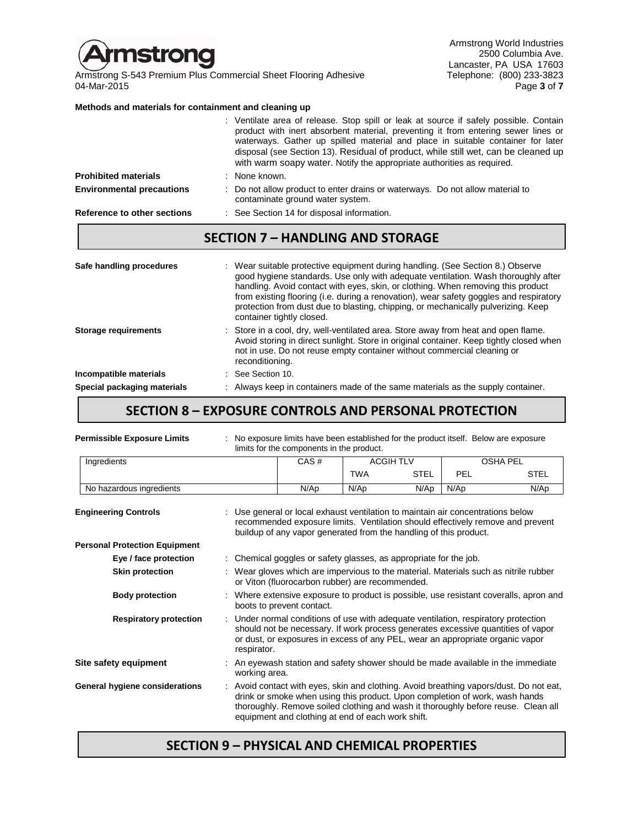

Armstrong World Industries 2500 Columbia Ave. Lancaster, PA USA 17603<br>Telephone: (800) 233-3823 04-Mar-2015 Page **3** of **7**

### **Methods and materials for containment and cleaning up**

|                                  | product with inert absorbent material, preventing it from entering sewer lines or<br>waterways. Gather up spilled material and place in suitable container for later<br>disposal (see Section 13). Residual of product, while still wet, can be cleaned up<br>with warm soapy water. Notify the appropriate authorities as required. |
|----------------------------------|--------------------------------------------------------------------------------------------------------------------------------------------------------------------------------------------------------------------------------------------------------------------------------------------------------------------------------------|
| <b>Prohibited materials</b>      | : None known.                                                                                                                                                                                                                                                                                                                        |
| <b>Environmental precautions</b> | : Do not allow product to enter drains or waterways. Do not allow material to<br>contaminate ground water system.                                                                                                                                                                                                                    |
| Reference to other sections      | : See Section 14 for disposal information.                                                                                                                                                                                                                                                                                           |

: Ventilate area of release. Stop spill or leak at source if safely possible. Contain

## **SECTION 7 – HANDLING AND STORAGE**

| Safe handling procedures    | : Wear suitable protective equipment during handling. (See Section 8.) Observe<br>good hygiene standards. Use only with adequate ventilation. Wash thoroughly after<br>handling. Avoid contact with eyes, skin, or clothing. When removing this product<br>from existing flooring (i.e. during a renovation), wear safety goggles and respiratory<br>protection from dust due to blasting, chipping, or mechanically pulverizing. Keep<br>container tightly closed. |
|-----------------------------|---------------------------------------------------------------------------------------------------------------------------------------------------------------------------------------------------------------------------------------------------------------------------------------------------------------------------------------------------------------------------------------------------------------------------------------------------------------------|
| <b>Storage requirements</b> | : Store in a cool, dry, well-ventilated area. Store away from heat and open flame.<br>Avoid storing in direct sunlight. Store in original container. Keep tightly closed when<br>not in use. Do not reuse empty container without commercial cleaning or<br>reconditioning.                                                                                                                                                                                         |
| Incompatible materials      | $\therefore$ See Section 10.                                                                                                                                                                                                                                                                                                                                                                                                                                        |
| Special packaging materials | : Always keep in containers made of the same materials as the supply container.                                                                                                                                                                                                                                                                                                                                                                                     |

## **SECTION 8 – EXPOSURE CONTROLS AND PERSONAL PROTECTION**

| <b>Permissible Exposure Limits</b>   | : No exposure limits have been established for the product itself. Below are exposure<br>limits for the components in the product.                                                                                                                                                                              |            |                  |      |                 |
|--------------------------------------|-----------------------------------------------------------------------------------------------------------------------------------------------------------------------------------------------------------------------------------------------------------------------------------------------------------------|------------|------------------|------|-----------------|
| Ingredients                          | CAS#                                                                                                                                                                                                                                                                                                            |            | <b>ACGIH TLV</b> |      | <b>OSHA PEL</b> |
|                                      |                                                                                                                                                                                                                                                                                                                 | <b>TWA</b> | <b>STEL</b>      | PEL  | <b>STEL</b>     |
| No hazardous ingredients             | N/Ap                                                                                                                                                                                                                                                                                                            | N/Ap       | N/Ap             | N/Ap | N/Ap            |
| <b>Engineering Controls</b>          | Use general or local exhaust ventilation to maintain air concentrations below<br>recommended exposure limits. Ventilation should effectively remove and prevent<br>buildup of any vapor generated from the handling of this product.                                                                            |            |                  |      |                 |
| <b>Personal Protection Equipment</b> |                                                                                                                                                                                                                                                                                                                 |            |                  |      |                 |
| Eye / face protection                | : Chemical goggles or safety glasses, as appropriate for the job.                                                                                                                                                                                                                                               |            |                  |      |                 |
| <b>Skin protection</b>               | : Wear gloves which are impervious to the material. Materials such as nitrile rubber<br>or Viton (fluorocarbon rubber) are recommended.                                                                                                                                                                         |            |                  |      |                 |
| <b>Body protection</b>               | : Where extensive exposure to product is possible, use resistant coveralls, apron and<br>boots to prevent contact.                                                                                                                                                                                              |            |                  |      |                 |
| <b>Respiratory protection</b>        | : Under normal conditions of use with adequate ventilation, respiratory protection<br>should not be necessary. If work process generates excessive quantities of vapor<br>or dust, or exposures in excess of any PEL, wear an appropriate organic vapor<br>respirator.                                          |            |                  |      |                 |
| Site safety equipment                | : An eyewash station and safety shower should be made available in the immediate<br>working area.                                                                                                                                                                                                               |            |                  |      |                 |
| General hygiene considerations       | : Avoid contact with eyes, skin and clothing. Avoid breathing vapors/dust. Do not eat,<br>drink or smoke when using this product. Upon completion of work, wash hands<br>thoroughly. Remove soiled clothing and wash it thoroughly before reuse. Clean all<br>equipment and clothing at end of each work shift. |            |                  |      |                 |

# **SECTION 9 – PHYSICAL AND CHEMICAL PROPERTIES**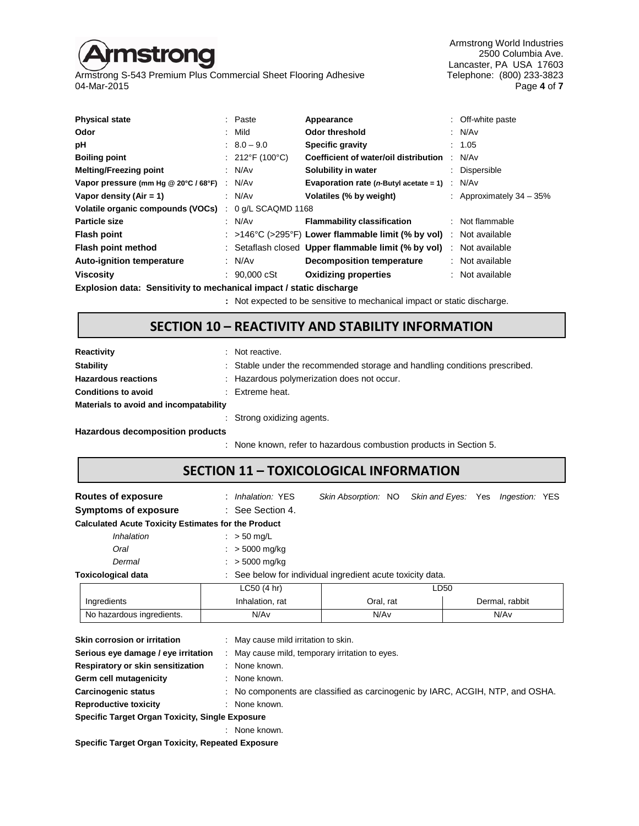# **istrong**

Armstrong S-543 Premium Plus Commercial Sheet Flooring Adhesive<br>04-Mar-2015

Armstrong World Industries 2500 Columbia Ave. Lancaster, PA USA 17603<br>Telephone: (800) 233-3823 04-Mar-2015 Page **4** of **7**

| <b>Physical state</b>                                               | : Paste                        | Appearance                                                              |     | : Off-white paste          |
|---------------------------------------------------------------------|--------------------------------|-------------------------------------------------------------------------|-----|----------------------------|
| Odor                                                                | : Mild                         | <b>Odor threshold</b>                                                   |     | : N/Av                     |
| рH                                                                  | $: 8.0 - 9.0$                  | <b>Specific gravity</b>                                                 |     | : 1.05                     |
| <b>Boiling point</b>                                                | : $212^{\circ}F(100^{\circ}C)$ | Coefficient of water/oil distribution                                   |     | N/A <sub>v</sub>           |
| <b>Melting/Freezing point</b>                                       | : $N/Av$                       | Solubility in water                                                     |     | : Dispersible              |
| Vapor pressure (mm Hg @ 20°C / 68°F)                                | : N/Av                         | Evaporation rate ( $n$ -Butyl acetate = 1)                              | -11 | N/Av                       |
| Vapor density (Air = 1)                                             | : $N/Av$                       | Volatiles (% by weight)                                                 |     | : Approximately $34 - 35%$ |
| Volatile organic compounds (VOCs)                                   | 0 g/L SCAQMD 1168              |                                                                         |     |                            |
| <b>Particle size</b>                                                | : N/Av                         | <b>Flammability classification</b>                                      |     | : Not flammable            |
| <b>Flash point</b>                                                  |                                | : $>146^{\circ}$ C ( $>295^{\circ}$ F) Lower flammable limit (% by vol) |     | Not available              |
| Flash point method                                                  |                                | : Setaflash closed Upper flammable limit (% by vol)                     | ÷   | Not available              |
| <b>Auto-ignition temperature</b>                                    | : $N/Av$                       | <b>Decomposition temperature</b>                                        |     | : Not available            |
| <b>Viscosity</b>                                                    | $: 90,000 \text{ cSt}$         | <b>Oxidizing properties</b>                                             |     | Not available              |
| Explosion data: Sensitivity to mechanical impact / static discharge |                                |                                                                         |     |                            |

**:** Not expected to be sensitive to mechanical impact or static discharge.

# **SECTION 10 – REACTIVITY AND STABILITY INFORMATION**

| <b>Reactivity</b>                       | : Not reactive.                                                            |
|-----------------------------------------|----------------------------------------------------------------------------|
| <b>Stability</b>                        | : Stable under the recommended storage and handling conditions prescribed. |
| <b>Hazardous reactions</b>              | : Hazardous polymerization does not occur.                                 |
| <b>Conditions to avoid</b>              | $\therefore$ Extreme heat.                                                 |
| Materials to avoid and incompatability  |                                                                            |
|                                         | : Strong oxidizing agents.                                                 |
| <b>Hazardous decomposition products</b> |                                                                            |
|                                         | : None known, refer to hazardous combustion products in Section 5.         |

# **SECTION 11 – TOXICOLOGICAL INFORMATION**

| Routes of exposure                                         | : Inhalation: YES           | Skin Absorption: NO                                        | Skin and Eyes: Yes | <i>Ingestion:</i> YES |
|------------------------------------------------------------|-----------------------------|------------------------------------------------------------|--------------------|-----------------------|
| <b>Symptoms of exposure</b>                                | $\therefore$ See Section 4. |                                                            |                    |                       |
| <b>Calculated Acute Toxicity Estimates for the Product</b> |                             |                                                            |                    |                       |
| Inhalation                                                 | $\therefore$ > 50 mg/L      |                                                            |                    |                       |
| Oral                                                       | $: > 5000 \text{ mg/kg}$    |                                                            |                    |                       |
| Dermal                                                     | $: > 5000 \text{ mg/kg}$    |                                                            |                    |                       |
| <b>Toxicological data</b>                                  |                             | : See below for individual ingredient acute toxicity data. |                    |                       |
|                                                            | LC50(4 hr)                  |                                                            | LD50               |                       |
| Ingredients                                                | Inhalation, rat             | Oral, rat                                                  |                    | Dermal, rabbit        |
| No hazardous ingredients.                                  | N/Av                        | N/Av                                                       |                    | N/Av                  |

| ווטואוווויטויטוטטווטט וואוט                     | . THEY OUGH HILL HILL ON UNIT.                                                |
|-------------------------------------------------|-------------------------------------------------------------------------------|
| Serious eye damage / eye irritation             | May cause mild, temporary irritation to eyes.                                 |
| Respiratory or skin sensitization               | : None known.                                                                 |
| Germ cell mutagenicity                          | None known.                                                                   |
| Carcinogenic status                             | : No components are classified as carcinogenic by IARC, ACGIH, NTP, and OSHA. |
| <b>Reproductive toxicity</b>                    | None known.                                                                   |
| Specific Target Organ Toxicity, Single Exposure |                                                                               |
|                                                 | None known.                                                                   |
|                                                 |                                                                               |

**Specific Target Organ Toxicity, Repeated Exposure**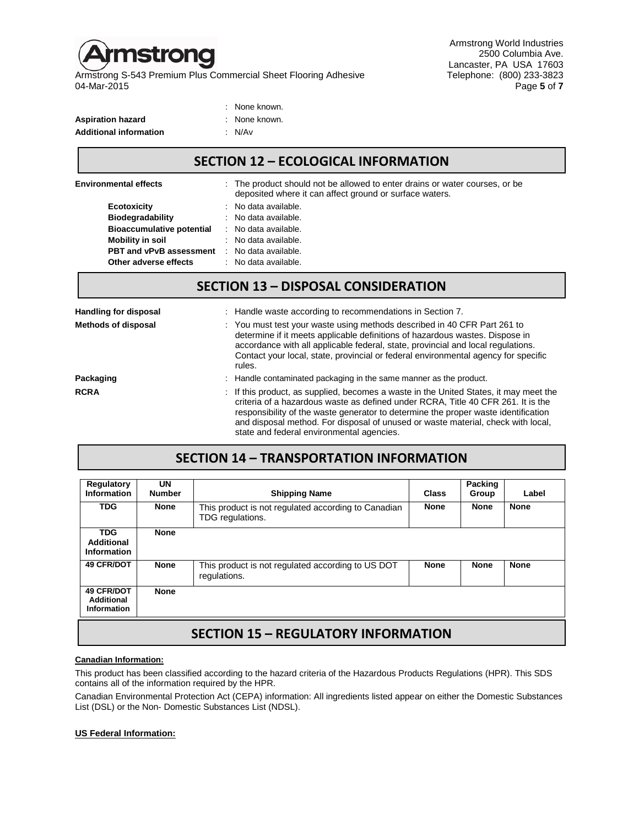

Armstrong World Industries 2500 Columbia Ave. Lancaster, PA USA 17603<br>Telephone: (800) 233-3823 04-Mar-2015 Page **5** of **7**

| : None known. |
|---------------|
| : None known. |
| : N/Av        |
|               |

# **SECTION 12 – ECOLOGICAL INFORMATION**

| <b>Environmental effects</b>      |  | : The product should not be allowed to enter drains or water courses, or be<br>deposited where it can affect ground or surface waters. |  |
|-----------------------------------|--|----------------------------------------------------------------------------------------------------------------------------------------|--|
| Ecotoxicity                       |  | : No data available.                                                                                                                   |  |
| Biodegradability                  |  | : No data available.                                                                                                                   |  |
| <b>Bioaccumulative potential</b>  |  | : No data available.                                                                                                                   |  |
| Mobility in soil                  |  | $\therefore$ No data available.                                                                                                        |  |
| <b>PBT and vPvB assessment</b>    |  | : No data available.                                                                                                                   |  |
| Other adverse effects             |  | : No data available.                                                                                                                   |  |
| CECTION 12 DICDOCAL CONCIDEDATION |  |                                                                                                                                        |  |

## **SECTION 13 – DISPOSAL CONSIDERATION**

| <b>Handling for disposal</b> | : Handle waste according to recommendations in Section 7.                                                                                                                                                                                                                                                                                                                                        |
|------------------------------|--------------------------------------------------------------------------------------------------------------------------------------------------------------------------------------------------------------------------------------------------------------------------------------------------------------------------------------------------------------------------------------------------|
| <b>Methods of disposal</b>   | : You must test your waste using methods described in 40 CFR Part 261 to<br>determine if it meets applicable definitions of hazardous wastes. Dispose in<br>accordance with all applicable federal, state, provincial and local regulations.<br>Contact your local, state, provincial or federal environmental agency for specific<br>rules.                                                     |
| Packaging                    | : Handle contaminated packaging in the same manner as the product.                                                                                                                                                                                                                                                                                                                               |
| <b>RCRA</b>                  | : If this product, as supplied, becomes a waste in the United States, it may meet the<br>criteria of a hazardous waste as defined under RCRA, Title 40 CFR 261. It is the<br>responsibility of the waste generator to determine the proper waste identification<br>and disposal method. For disposal of unused or waste material, check with local,<br>state and federal environmental agencies. |

## **SECTION 14 – TRANSPORTATION INFORMATION**

| <b>Regulatory</b><br>Information                             | UN<br><b>Number</b> | <b>Shipping Name</b>                                                    | Class       | Packing<br>Group | Label       |
|--------------------------------------------------------------|---------------------|-------------------------------------------------------------------------|-------------|------------------|-------------|
| <b>TDG</b>                                                   | <b>None</b>         | This product is not regulated according to Canadian<br>TDG regulations. | <b>None</b> | None             | <b>None</b> |
| <b>TDG</b><br><b>Additional</b><br>Information               | <b>None</b>         |                                                                         |             |                  |             |
| <b>49 CFR/DOT</b>                                            | <b>None</b>         | This product is not regulated according to US DOT<br>regulations.       | <b>None</b> | None             | <b>None</b> |
| <b>49 CFR/DOT</b><br><b>Additional</b><br><b>Information</b> | <b>None</b>         |                                                                         |             |                  |             |
| <b>SECTION 15 - REGULATORY INFORMATION</b>                   |                     |                                                                         |             |                  |             |

#### **Canadian Information:**

This product has been classified according to the hazard criteria of the Hazardous Products Regulations (HPR). This SDS contains all of the information required by the HPR.

Canadian Environmental Protection Act (CEPA) information: All ingredients listed appear on either the Domestic Substances List (DSL) or the Non- Domestic Substances List (NDSL).

## **US Federal Information:**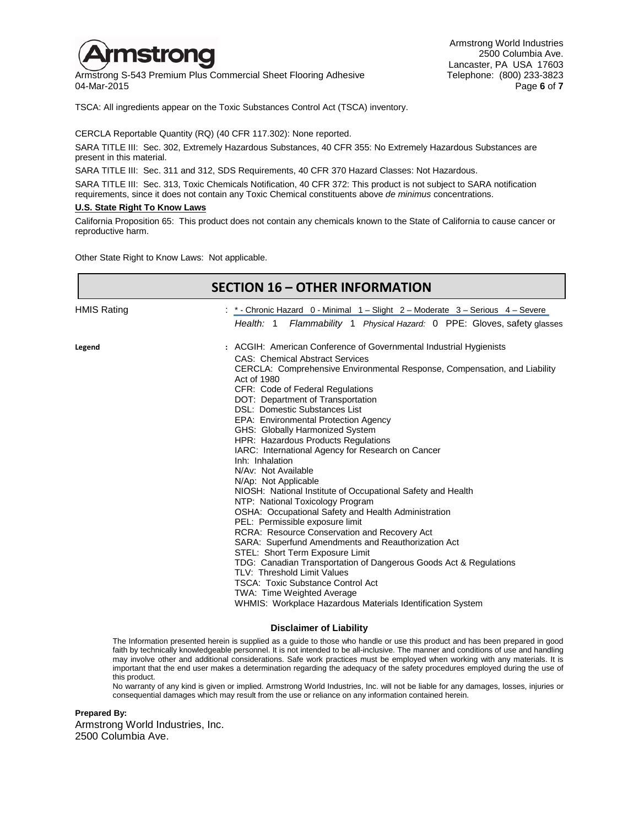

Armstrong S-543 Premium Plus Commercial Sheet Flooring Adhesive Telephone: (800) 233-3823<br>16 Page 6 of T 04-Mar-2015 Page **6** of **7**

Armstrong World Industries 2500 Columbia Ave. Lancaster, PA USA 17603<br>Telephone: (800) 233-3823

TSCA: All ingredients appear on the Toxic Substances Control Act (TSCA) inventory.

CERCLA Reportable Quantity (RQ) (40 CFR 117.302): None reported.

SARA TITLE III: Sec. 302, Extremely Hazardous Substances, 40 CFR 355: No Extremely Hazardous Substances are present in this material.

SARA TITLE III: Sec. 311 and 312, SDS Requirements, 40 CFR 370 Hazard Classes: Not Hazardous.

SARA TITLE III: Sec. 313, Toxic Chemicals Notification, 40 CFR 372: This product is not subject to SARA notification requirements, since it does not contain any Toxic Chemical constituents above *de minimus* concentrations.

#### **U.S. State Right To Know Laws**

California Proposition 65: This product does not contain any chemicals known to the State of California to cause cancer or reproductive harm.

Other State Right to Know Laws: Not applicable.

|                    | <b>SECTION 16 - OTHER INFORMATION</b>                                                                                                                        |
|--------------------|--------------------------------------------------------------------------------------------------------------------------------------------------------------|
| <b>HMIS Rating</b> | : *- Chronic Hazard 0 - Minimal 1 - Slight 2 - Moderate 3 - Serious 4 - Severe<br>Health: 1<br>Flammability 1 Physical Hazard: 0 PPE: Gloves, safety glasses |
|                    |                                                                                                                                                              |
| Legend             | : ACGIH: American Conference of Governmental Industrial Hygienists                                                                                           |
|                    | <b>CAS: Chemical Abstract Services</b>                                                                                                                       |
|                    | CERCLA: Comprehensive Environmental Response, Compensation, and Liability                                                                                    |
|                    | Act of 1980                                                                                                                                                  |
|                    | CFR: Code of Federal Regulations                                                                                                                             |
|                    | DOT: Department of Transportation<br>DSL: Domestic Substances List                                                                                           |
|                    | EPA: Environmental Protection Agency                                                                                                                         |
|                    | GHS: Globally Harmonized System                                                                                                                              |
|                    | HPR: Hazardous Products Regulations                                                                                                                          |
|                    | IARC: International Agency for Research on Cancer                                                                                                            |
|                    | Inh: Inhalation                                                                                                                                              |
|                    | N/Av: Not Available                                                                                                                                          |
|                    | N/Ap: Not Applicable                                                                                                                                         |
|                    | NIOSH: National Institute of Occupational Safety and Health                                                                                                  |
|                    | NTP: National Toxicology Program                                                                                                                             |
|                    | OSHA: Occupational Safety and Health Administration                                                                                                          |
|                    | PEL: Permissible exposure limit                                                                                                                              |
|                    | RCRA: Resource Conservation and Recovery Act                                                                                                                 |
|                    | SARA: Superfund Amendments and Reauthorization Act                                                                                                           |
|                    | STEL: Short Term Exposure Limit                                                                                                                              |
|                    | TDG: Canadian Transportation of Dangerous Goods Act & Regulations                                                                                            |
|                    | TLV: Threshold Limit Values                                                                                                                                  |
|                    | <b>TSCA: Toxic Substance Control Act</b>                                                                                                                     |
|                    | TWA: Time Weighted Average                                                                                                                                   |
|                    | WHMIS: Workplace Hazardous Materials Identification System                                                                                                   |
|                    | <b>Disclaimer of Liability</b>                                                                                                                               |

The Information presented herein is supplied as a guide to those who handle or use this product and has been prepared in good faith by technically knowledgeable personnel. It is not intended to be all-inclusive. The manner and conditions of use and handling may involve other and additional considerations. Safe work practices must be employed when working with any materials. It is important that the end user makes a determination regarding the adequacy of the safety procedures employed during the use of this product.

No warranty of any kind is given or implied. Armstrong World Industries, Inc. will not be liable for any damages, losses, injuries or consequential damages which may result from the use or reliance on any information contained herein.

#### **Prepared By:**

Armstrong World Industries, Inc. 2500 Columbia Ave.